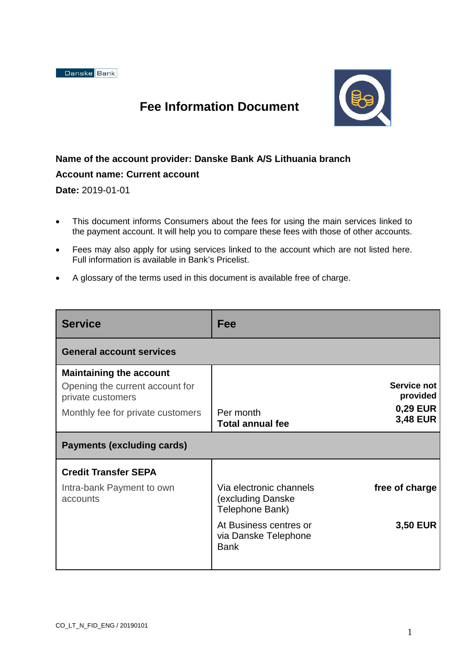

## **Fee Information Document**

## **Name of the account provider: Danske Bank A/S Lithuania branch**

## **Account name: Current account**

**Date:** 2019-01-01

- This document informs Consumers about the fees for using the main services linked to the payment account. It will help you to compare these fees with those of other accounts.
- Fees may also apply for using services linked to the account which are not listed here. Full information is available in Bank's Pricelist.
- A glossary of the terms used in this document is available free of charge.

| <b>Service</b>                                                                                                              | Fee                                                             |                                                               |  |  |
|-----------------------------------------------------------------------------------------------------------------------------|-----------------------------------------------------------------|---------------------------------------------------------------|--|--|
| <b>General account services</b>                                                                                             |                                                                 |                                                               |  |  |
| <b>Maintaining the account</b><br>Opening the current account for<br>private customers<br>Monthly fee for private customers | Per month<br><b>Total annual fee</b>                            | Service not<br>provided<br><b>0,29 EUR</b><br><b>3,48 EUR</b> |  |  |
| <b>Payments (excluding cards)</b>                                                                                           |                                                                 |                                                               |  |  |
| <b>Credit Transfer SEPA</b>                                                                                                 |                                                                 |                                                               |  |  |
| Intra-bank Payment to own<br>accounts                                                                                       | Via electronic channels<br>(excluding Danske<br>Telephone Bank) | free of charge                                                |  |  |
|                                                                                                                             | At Business centres or<br>via Danske Telephone<br><b>Bank</b>   | <b>3,50 EUR</b>                                               |  |  |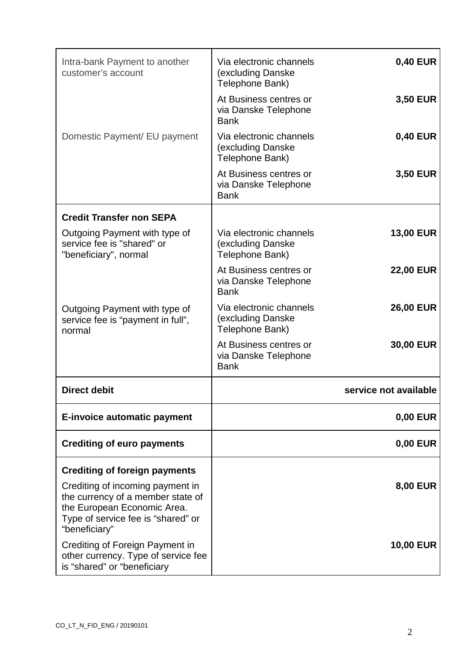| Type of service fee is "shared" or<br>"beneficiary"<br>Crediting of Foreign Payment in<br>other currency. Type of service fee                |                                                                 | <b>10,00 EUR</b>      |
|----------------------------------------------------------------------------------------------------------------------------------------------|-----------------------------------------------------------------|-----------------------|
| <b>Crediting of foreign payments</b><br>Crediting of incoming payment in<br>the currency of a member state of<br>the European Economic Area. |                                                                 | <b>8,00 EUR</b>       |
| <b>Crediting of euro payments</b>                                                                                                            |                                                                 | <b>0,00 EUR</b>       |
| <b>E-invoice automatic payment</b>                                                                                                           |                                                                 | <b>0,00 EUR</b>       |
| <b>Direct debit</b>                                                                                                                          |                                                                 | service not available |
|                                                                                                                                              | At Business centres or<br>via Danske Telephone<br><b>Bank</b>   | 30,00 EUR             |
| Outgoing Payment with type of<br>service fee is "payment in full",<br>normal                                                                 | Via electronic channels<br>(excluding Danske<br>Telephone Bank) | <b>26,00 EUR</b>      |
|                                                                                                                                              | At Business centres or<br>via Danske Telephone<br><b>Bank</b>   | <b>22,00 EUR</b>      |
| Outgoing Payment with type of<br>service fee is "shared" or<br>"beneficiary", normal                                                         | Via electronic channels<br>(excluding Danske<br>Telephone Bank) | <b>13,00 EUR</b>      |
| <b>Credit Transfer non SEPA</b>                                                                                                              |                                                                 |                       |
|                                                                                                                                              | At Business centres or<br>via Danske Telephone<br><b>Bank</b>   | <b>3,50 EUR</b>       |
| Domestic Payment/ EU payment                                                                                                                 | Via electronic channels<br>(excluding Danske<br>Telephone Bank) | <b>0,40 EUR</b>       |
|                                                                                                                                              | At Business centres or<br>via Danske Telephone<br><b>Bank</b>   | <b>3,50 EUR</b>       |
| Intra-bank Payment to another<br>customer's account                                                                                          | Via electronic channels<br>(excluding Danske<br>Telephone Bank) | <b>0,40 EUR</b>       |